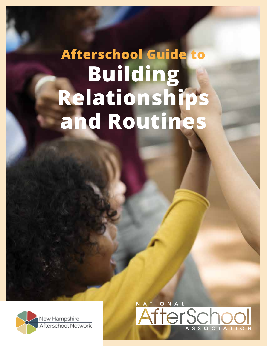# **Building Relationships and Routines Afterschool Guide to**



N A T I O N A L AfterSchod SSOCIATION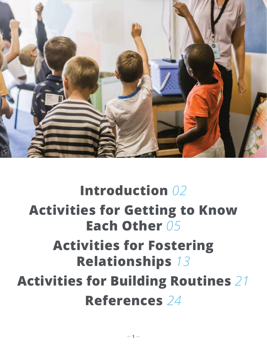

# **Introduction** *02*  **Activities for Getting to Know Each Other** *05* **Activities for Fostering Relationships** *13* **Activities for Building Routines** *21* **References** *24*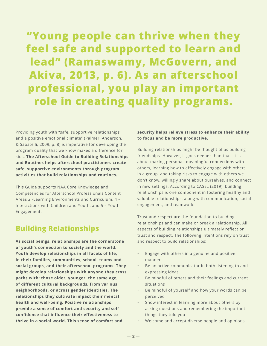**"Young people can thrive when they feel safe and supported to learn and lead" (Ramaswamy, McGovern, and Akiva, 2013, p. 6). As an afterschool professional, you play an important role in creating quality programs.**

Providing youth with "safe, supportive relationships and a positive emotional climate" (Palmer, Anderson, & Sabatelli, 2009, p. 8) is imperative for developing the program quality that we know makes a difference for kids. **The Afterschool Guide to Building Relationships and Routines helps afterschool practitioners create safe, supportive environments through program activities that build relationships and routines.**

This Guide supports NAA Core Knowledge and Competencies for Afterschool Professionals Content Areas 2 -Learning Environments and Curriculum, 4 – Interactions with Children and Youth, and 5 – Youth Engagement.

# **Building Relationships**

**As social beings, relationships are the cornerstone of youth's connection to society and the world. Youth develop relationships in all facets of life, in their families, communities, school, teams and social groups, and their afterschool programs. They might develop relationships with anyone they cross paths with; those older, younger, the same age, of different cultural backgrounds, from various neighborhoods, or across gender identities. The relationships they cultivate impact their mental health and well-being. Positive relationships provide a sense of comfort and security and selfconfidence that influence their effectiveness to thrive in a social world. This sense of comfort and** 

**security helps relieve stress to enhance their ability to focus and be more productive.** 

Building relationships might be thought of as building friendships. However, it goes deeper than that. It is about making personal, meaningful connections with others, learning how to effectively engage with others in a group, and taking risks to engage with others we don't know, willingly share about ourselves, and connect in new settings. According to CASEL (2019), building relationships is one component in fostering healthy and valuable relationships, along with communication, social engagement, and teamwork.

Trust and respect are the foundation to building relationships and can make or break a relationship. All aspects of building relationships ultimately reflect on trust and respect. The following intentions rely on trust and respect to build relationships:

- Engage with others in a genuine and positive manner
- Be an active communicator in both listening to and expressing ideas
- Be mindful of others and their feelings and current situations
- Be mindful of yourself and how your words can be perceived
- Show interest in learning more about others by asking questions and remembering the important things they told you
- Welcome and accept diverse people and opinions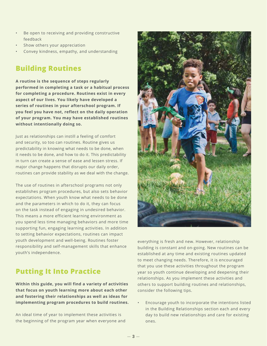- Be open to receiving and providing constructive feedback
- Show others your appreciation
- Convey kindness, empathy, and understanding

# **Building Routines**

**A routine is the sequence of steps regularly performed in completing a task or a habitual process for completing a procedure. Routines exist in every aspect of our lives. You likely have developed a series of routines in your afterschool program. If you feel you have not, reflect on the daily operation of your program. You may have established routines without intentionally doing so.** 

Just as relationships can instill a feeling of comfort and security, so too can routines. Routine gives us predictability in knowing what needs to be done, when it needs to be done, and how to do it. This predictability in turn can create a sense of ease and lessen stress. If major change happens that disrupts our daily order, routines can provide stability as we deal with the change.

The use of routines in afterschool programs not only establishes program procedures, but also sets behavior expectations. When youth know what needs to be done and the parameters in which to do it, they can focus on the task instead of engaging in undesired behavior. This means a more efficient learning environment as you spend less time managing behaviors and more time supporting fun, engaging learning activities. In addition to setting behavior expectations, routines can impact youth development and well-being. Routines foster responsibility and self-management skills that enhance youth's independence.

# **Putting It Into Practice**

**Within this guide, you will find a variety of activities that focus on youth learning more about each other and fostering their relationships as well as ideas for implementing program procedures to build routines.** 

An ideal time of year to implement these activities is the beginning of the program year when everyone and



everything is fresh and new. However, relationship building is constant and on-going. New routines can be established at any time and existing routines updated to meet changing needs. Therefore, it is encouraged that you use these activities throughout the program year so youth continue developing and deepening their relationships. As you implement these activities and others to support building routines and relationships, consider the following tips.

• Encourage youth to incorporate the intentions listed in the Building Relationships section each and every day to build new relationships and care for existing ones.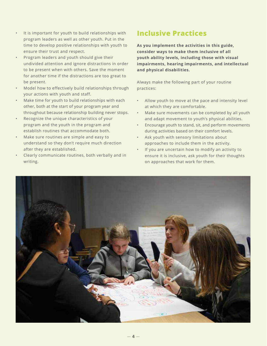- It is important for youth to build relationships with program leaders as well as other youth. Put in the time to develop positive relationships with youth to ensure their trust and respect.
- Program leaders and youth should give their undivided attention and ignore distractions in order to be present when with others. Save the moment for another time if the distractions are too great to be present.
- Model how to effectively build relationships through your actions with youth and staff.
- Make time for youth to build relationships with each other, both at the start of your program year and throughout because relationship building never stops.
- Recognize the unique characteristics of your program and the youth in the program and establish routines that accommodate both.
- Make sure routines are simple and easy to understand so they don't require much direction after they are established.
- Clearly communicate routines, both verbally and in writing.

# **Inclusive Practices**

**As you implement the activities in this guide, consider ways to make them inclusive of all youth ability levels, including those with visual impairments, hearing impairments, and intellectual and physical disabilities.** 

Always make the following part of your routine practices:

- Allow youth to move at the pace and intensity level at which they are comfortable.
- Make sure movements can be completed by all youth and adapt movement to youth's physical abilities.
- Encourage youth to stand, sit, and perform movements during activities based on their comfort levels.
- Ask youth with sensory limitations about approaches to include them in the activity.
- If you are uncertain how to modify an activity to ensure it is inclusive, ask youth for their thoughts on approaches that work for them.

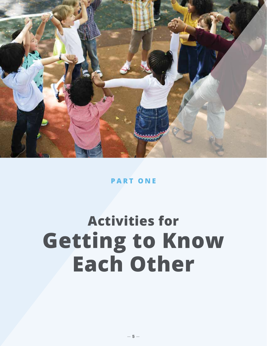

# **PART ONE**

# **Getting to Know Each Other Activities for**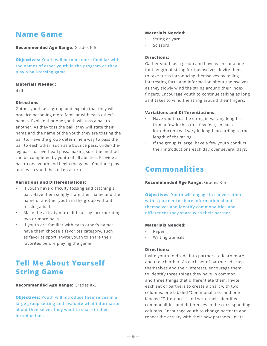# **Name Game**

### **Recommended Age Range**: Grades K-5

**Objectives: Youth will become more familiar with the names of other youth in the program as they play a ball-tossing game.**

### **Materials Needed:**

Ball

### **Directions:**

Gather youth as a group and explain that they will practice becoming more familiar with each other's names. Explain that one youth will toss a ball to another. As they toss the ball, they will state their name and the name of the youth they are tossing the ball to. Have the group determine a way to pass the ball to each other, such as a bounce pass, under-theleg pass, or overhead pass, making sure the method can be completed by youth of all abilities. Provide a ball to one youth and begin the game. Continue play until each youth has taken a turn.

### **Variations and Differentiations:**

- If youth have difficulty tossing and catching a ball, Have them simply state their name and the name of another youth in the group without tossing a ball.
- Make the activity more difficult by incorporating two or more balls.
- If youth are familiar with each other's names, have them choose a favorites category, such as favorite sport. Invite youth to share their favorites before playing the game.

# **Tell Me About Yourself String Game**

### **Recommended Age Range:** Grades K-5

**Objectives: Youth will introduce themselves in a large group setting and evaluate what information about themselves they want to share in their introductions.**

#### **Materials Needed:**

- String or yarn
- **Scissors**

### **Directions:**

Gather youth as a group and have each cut a onefoot length of string for themselves. Invite them to take turns introducing themselves by telling interesting facts and information about themselves as they slowly wind the string around their index fingers. Encourage youth to continue talking as long as it takes to wind the string around their fingers.

### **Variations and Differentiations:**

- Have youth cut the string in varying lengths, from a few inches to a few feet, so each introduction will vary in length according to the length of the string.
- If the group is large, have a few youth conduct their introductions each day over several days.

# **Commonalities**

### **Recommended Age Range:** Grades K-5

**Objectives: Youth will engage in conversation with a partner to share information about themselves and identify commonalities and differences they share with their partner.**

### **Materials Needed:**

- Paper
- Writing utensils

### **Directions:**

Invite youth to divide into partners to learn more about each other. As each set of partners discuss themselves and their interests, encourage them to identify three things they have in common and three things that differentiate them. Invite each set of partners to create a chart with two columns, one labeled "Commonalities" and one labeled "Differences" and write their identified commonalities and differences in the corresponding columns. Encourage youth to change partners and repeat the activity with their new partners. Invite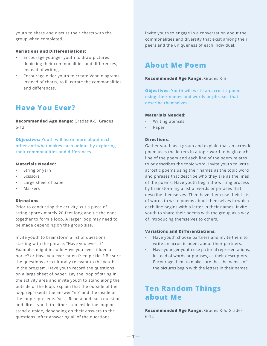youth to share and discuss their charts with the group when completed.

### **Variations and Differentiations:**

- Encourage younger youth to draw pictures depicting their commonalities and differences, instead of writing.
- Encourage older youth to create Venn diagrams, instead of charts, to illustrate the commonalities and differences.

# **Have You Ever?**

**Recommended Age Range:** Grades K-5, Grades 6-12

**Objectives: Youth will learn more about each other and what makes each unique by exploring their commonalities and differences.** 

### **Materials Needed:**

- String or yarn
- **Scissors**
- Large sheet of paper
- **Markers**

## **Directions:**

Prior to conducting the activity, cut a piece of string approximately 20-feet long and tie the ends together to form a loop. A larger loop may need to be made depending on the group size.

Invite youth to brainstorm a list of questions starting with the phrase, "Have you ever…?" Examples might include Have you ever ridden a horse? or Have you ever eaten fried pickles? Be sure the questions are culturally relevant to the youth in the program. Have youth record the questions on a large sheet of paper. Lay the loop of string in the activity area and invite youth to stand along the outside of the loop. Explain that the outside of the loop represents the answer "no" and the inside of the loop represents "yes". Read aloud each question and direct youth to either step inside the loop or stand outside, depending on their answers to the questions. After answering all of the questions,

invite youth to engage in a conversation about the commonalities and diversity that exist among their peers and the uniqueness of each individual.

# **About Me Poem**

### **Recommended Age Range:** Grades K-5

**Objectives: Youth will write an acrostic poem using their names and words or phrases that describe themselves.**

# **Materials Needed:**

- Writing utensils
- Paper

### **Directions**:

Gather youth as a group and explain that an acrostic poem uses the letters in a topic word to begin each line of the poem and each line of the poem relates to or describes the topic word. Invite youth to write acrostic poems using their names as the topic word and phrases that describe who they are as the lines of the poems. Have youth begin the writing process by brainstorming a list of words or phrases that describe themselves. Then have them use their lists of words to write poems about themselves in which each line begins with a letter in their names. Invite youth to share their poems with the group as a way of introducing themselves to others.

### **Variations and Differentiations:**

- Have youth choose partners and invite them to write an acrostic poem about their partners.
- Have younger youth use pictorial representations, instead of words or phrases, as their descriptors. Encourage them to make sure that the names of the pictures begin with the letters in their names.

# **Ten Random Things about Me**

**Recommended Age Range:** Grades K-5, Grades 6-12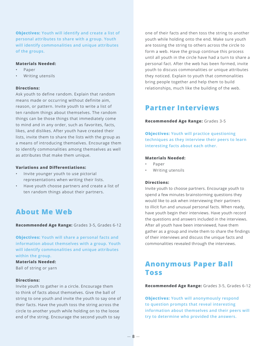**Objectives: Youth will identify and create a list of personal attributes to share with a group. Youth will identify commonalities and unique attributes of the groups.**

#### **Materials Needed:**

- Paper
- Writing utensils

### **Directions:**

Ask youth to define random. Explain that random means made or occurring without definite aim, reason, or pattern. Invite youth to write a list of ten random things about themselves. The random things can be those things that immediately come to mind and in any order, such as favorites, facts, likes, and dislikes. After youth have created their lists, invite them to share the lists with the group as a means of introducing themselves. Encourage them to identify commonalities among themselves as well as attributes that make them unique.

#### **Variations and Differentiations:**

- Invite younger youth to use pictorial representations when writing their lists.
- Have youth choose partners and create a list of ten random things about their partners.

# **About Me Web**

**Recommended Age Range:** Grades 3-5, Grades 6-12

**Objectives: Youth will share a personal facts and information about themselves with a group. Youth will identify commonalities and unique attributes within the group.**

#### **Materials Needed:**

Ball of string or yarn

#### **Directions:**

Invite youth to gather in a circle. Encourage them to think of facts about themselves. Give the ball of string to one youth and invite the youth to say one of their facts. Have the youth toss the string across the circle to another youth while holding on to the loose end of the string. Encourage the second youth to say

one of their facts and then toss the string to another youth while holding onto the end. Make sure youth are tossing the string to others across the circle to form a web. Have the group continue this process until all youth in the circle have had a turn to share a personal fact. After the web has been formed, invite youth to discuss commonalities or unique attributes they noticed. Explain to youth that commonalities bring people together and help them to build relationships, much like the building of the web.

# **Partner Interviews**

#### **Recommended Age Range:** Grades 3-5

**Objectives: Youth will practice questioning techniques as they interview their peers to learn interesting facts about each other.** 

#### **Materials Needed:**

- Paper
- Writing utensils

#### **Directions:**

Invite youth to choose partners. Encourage youth to spend a few minutes brainstorming questions they would like to ask when interviewing their partners to illicit fun and unusual personal facts. When ready, have youth begin their interviews. Have youth record the questions and answers included in the interviews. After all youth have been interviewed, have them gather as a group and invite them to share the findings of their interviews and discuss the unique facts and commonalities revealed through the interviews.

# **Anonymous Paper Ball Toss**

**Recommended Age Range:** Grades 3-5, Grades 6-12

**Objectives: Youth will anonymously respond to question prompts that reveal interesting information about themselves and their peers will try to determine who provided the answers.**

 $-8-$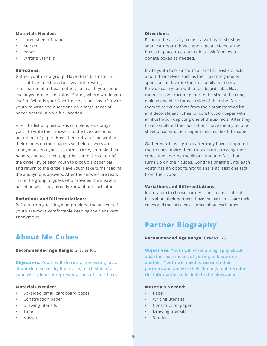### **Materials Needed:**

- Large sheet of paper
- Marker
- Paper
- Writing utensils

### **Directions:**

Gather youth as a group. Have them brainstorm a list of five questions to reveal interesting information about each other, such as If you could live anywhere in the United States, where would you live? or What is your favorite ice cream flavor? Invite youth to write the questions on a large sheet of paper posted in a visible location.

After the list of questions is complete, encourage youth to write their answers to the five questions on a sheet of paper. Have them refrain from writing their names on their papers so their answers are anonymous. Ask youth to form a circle, crumple their papers, and toss their paper balls into the center of the circle. Invite each youth to pick up a paper ball and return to the circle. Have youth take turns reading the anonymous answers. After the answers are read, invite the group to guess who provided the answers based on what they already know about each other.

### **Variations and Differentiations:**

Refrain from guessing who provided the answers if youth are more comfortable keeping their answers anonymous.

# **About Me Cubes**

### **Recommended Age Range:** Grades K-5

**Objectives: Youth will share six interesting facts about themselves by illustrating each side of a cube with pictorial representations of their facts.** 

## **Materials Needed:**

- Six-sided, small cardboard boxes
- Construction paper
- Drawing utensils
- Tape
- **Scissors**

### **Directions:**

Prior to the activity, collect a variety of six-sided, small cardboard boxes and tape all sides of the boxes in place to create cubes. Ask families to donate boxes as needed.

Invite youth to brainstorm a list of at least six facts about themselves, such as their favorite game or sport, talent, favorite food, or family members. Provide each youth with a cardboard cube. Have them cut construction paper to the size of the cube, making one piece for each side of the cube. Direct them to select six facts from their brainstormed list and decorate each sheet of construction paper with an illustration depicting one of the six facts. After they have completed the illustrations, have them glue one sheet of construction paper to each side of the cube.

Gather youth as a group after they have completed their cubes. Invite them to take turns tossing their cubes and sharing the illustration and fact that turns up on their cubes. Continue sharing until each youth has an opportunity to share at least one fact from their cube.

## **Variations and Differentiations:**

Invite youth to choose partners and create a cube of facts about their partners. Have the partners share their cubes and the facts they learned about each other.

# **Partner Biography**

### **Recommended Age Range:** Grades K-5

**Objectives: Youth will write a biography about a partner as a means of getting to know one another. Youth will need to research their partners and analyze their findings to determine the information to include in the biography.**

### **Materials Needed:**

- Paper
- Writing utensils
- Construction paper
- Drawing utensils
- **Stapler**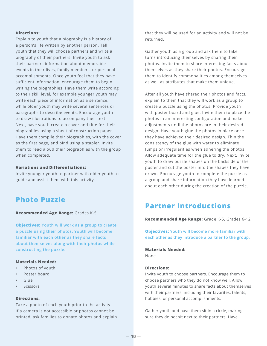### **Directions:**

Explain to youth that a biography is a history of a person's life written by another person. Tell youth that they will choose partners and write a biography of their partners. Invite youth to ask their partners information about memorable events in their lives, family members, or personal accomplishments. Once youth feel that they have sufficient information, encourage them to begin writing the biographies. Have them write according to their skill level, for example younger youth may write each piece of information as a sentence, while older youth may write several sentences or paragraphs to describe events. Encourage youth to draw illustrations to accompany their text. Next, have youth create a cover and title for their biographies using a sheet of construction paper. Have them compile their biographies, with the cover as the first page, and bind using a stapler. Invite them to read aloud their biographies with the group when completed.

#### **Variations and Differentiations:**

Invite younger youth to partner with older youth to guide and assist them with this activity.

# **Photo Puzzle**

**Recommended Age Range:** Grades K-5

**Objectives: Youth will work as a group to create a puzzle using their photos. Youth will become familiar with each other as they share facts about themselves along with their photos while constructing the puzzle.**

#### **Materials Needed:**

- Photos of youth
- Poster board
- Glue
- **Scissors**

### **Directions:**

Take a photo of each youth prior to the activity. If a camera is not accessible or photos cannot be printed, ask families to donate photos and explain that they will be used for an activity and will not be returned.

Gather youth as a group and ask them to take turns introducing themselves by sharing their photos. Invite them to share interesting facts about themselves as they share their photos. Encourage them to identify commonalities among themselves as well as attributes that make them unique.

After all youth have shared their photos and facts, explain to them that they will work as a group to create a puzzle using the photos. Provide youth with poster board and glue. Invite them to place the photos in an interesting configuration and make adjustments until the photos are in their desired design. Have youth glue the photos in place once they have achieved their desired design. Thin the consistency of the glue with water to eliminate lumps or irregularities when adhering the photos. Allow adequate time for the glue to dry. Next, invite youth to draw puzzle shapes on the backside of the poster and cut the poster into the shapes they have drawn. Encourage youth to complete the puzzle as a group and share information they have learned about each other during the creation of the puzzle.

# **Partner Introductions**

Recommended Age Range: Grade K-5, Grades 6-12

**Objectives: Youth will become more familiar with each other as they introduce a partner to the group.**

## **Materials Needed:**

None

### **Directions:**

Invite youth to choose partners. Encourage them to choose partners who they do not know well. Allow youth several minutes to share facts about themselves with their partners, including their favorites, talents, hobbies, or personal accomplishments.

Gather youth and have them sit in a circle, making sure they do not sit next to their partners. Have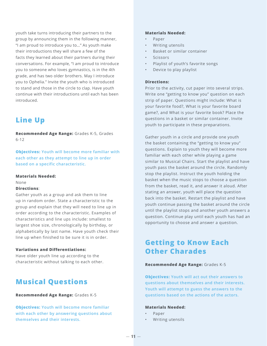youth take turns introducing their partners to the group by announcing them in the following manner, "I am proud to introduce you to…" As youth make their introductions they will share a few of the facts they learned about their partners during their conversations. For example, "I am proud to introduce you to someone who loves gymnastics, is in the 4th grade, and has two older brothers. May I introduce you to Ophelia." Invite the youth who is introduced to stand and those in the circle to clap. Have youth continue with their introductions until each has been introduced.

# **Line Up**

**Recommended Age Range:** Grades K-5, Grades 6-12

**Objectives: Youth will become more familiar with each other as they attempt to line up in order based on a specific characteristic.**

**Materials Needed:**

None

### **Directions**:

Gather youth as a group and ask them to line up in random order. State a characteristic to the group and explain that they will need to line up in order according to the characteristic. Examples of characteristics and line ups include: smallest to largest shoe size, chronologically by birthday, or alphabetically by last name. Have youth check their line up when finished to be sure it is in order.

## **Variations and Differentiations:**

Have older youth line up according to the characteristic without talking to each other.

# **Musical Questions**

### **Recommended Age Range:** Grades K-5

**Objectives: Youth will become more familiar with each other by answering questions about themselves and their interests.**

### **Materials Needed:**

- Paper
- Writing utensils
- Basket or similar container
- Scissors
- Playlist of youth's favorite songs
- Device to play playlist

### **Directions:**

Prior to the activity, cut paper into several strips. Write one "getting to know you" question on each strip of paper. Questions might include: What is your favorite food?, What is your favorite board game?, and What is your favorite book? Place the questions in a basket or similar container. Invite youth to participate in these preparations.

Gather youth in a circle and provide one youth the basket containing the "getting to know you" questions. Explain to youth they will become more familiar with each other while playing a game similar to Musical Chairs. Start the playlist and have youth pass the basket around the circle. Randomly stop the playlist. Instruct the youth holding the basket when the music stops to choose a question from the basket, read it, and answer it aloud. After stating an answer, youth will place the question back into the basket. Restart the playlist and have youth continue passing the basket around the circle until the playlist stops and another youth answers a question. Continue play until each youth has had an opportunity to choose and answer a question.

# **Getting to Know Each Other Charades**

### **Recommended Age Range:** Grades K-5

**Objectives: Youth will act out their answers to questions about themselves and their interests. Youth will attempt to guess the answers to the questions based on the actions of the actors.**

### **Materials Needed:**

- Paper
- Writing utensils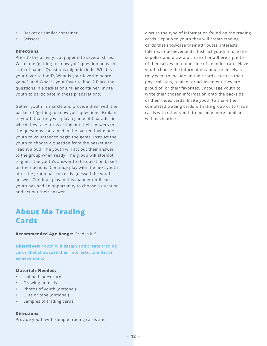- Basket or similar container
- **Scissors**

### **Directions:**

Prior to the activity, cut paper into several strips. Write one "getting to know you" question on each strip of paper. Questions might include: What is your favorite food?, What is your favorite board game?, and What is your favorite book? Place the questions in a basket or similar container. Invite youth to participate in these preparations.

Gather youth in a circle and provide them with the basket of "getting to know you" questions. Explain to youth that they will play a game of Charades in which they take turns acting out their answers to the questions contained in the basket. Invite one youth to volunteer to begin the game. Instruct the youth to choose a question from the basket and read it aloud. The youth will act out their answer to the group when ready. The group will attempt to guess the youth's answer to the question based on their actions. Continue play with the next youth after the group has correctly guessed the youth's answer. Continue play in this manner until each youth has had an opportunity to choose a question and act out their answer.

# **About Me Trading Cards**

**Recommended Age Range:** Grades K-5

**Objectives: Youth will design and create trading cards that showcase their interests, talents, or achievements.**

### **Materials Needed:**

- Unlined index cards
- Drawing utensils
- Photos of youth (optional)
- Glue or tape (optional)
- Samples of trading cards

### **Directions:**

Provide youth with sample trading cards and

discuss the type of information found on the trading cards. Explain to youth they will create trading cards that showcase their attributes, interests, talents, or achievements. Instruct youth to use the supplies and draw a picture of or adhere a photo of themselves onto one side of an index card. Have youth choose the information about themselves they want to include on their cards, such as their physical stats, a talent or achievement they are proud of, or their favorites. Encourage youth to write their chosen information onto the backside of their index cards. Invite youth to share their completed trading cards with the group or to trade cards with other youth to become more familiar with each other.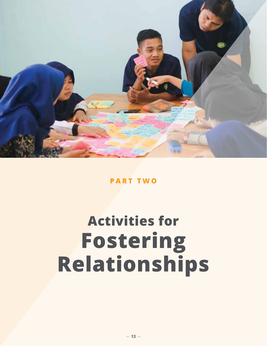

**PART TWO**

# **Fostering Relationships Activities for**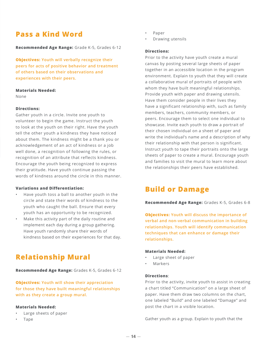# **Pass a Kind Word**

**Recommended Age Range:** Grade K-5, Grades 6-12

**Objectives: Youth will verbally recognize their peers for acts of positive behavior and treatment of others based on their observations and experiences with their peers.**

#### **Materials Needed:**

None

### **Directions:**

Gather youth in a circle. Invite one youth to volunteer to begin the game. Instruct the youth to look at the youth on their right. Have the youth tell the other youth a kindness they have noticed about them. The kindness might be a thank you or acknowledgement of an act of kindness or a job well done, a recognition of following the rules, or recognition of an attribute that reflects kindness. Encourage the youth being recognized to express their gratitude. Have youth continue passing the words of kindness around the circle in this manner.

### **Variations and Differentiation:**

- Have youth toss a ball to another youth in the circle and state their words of kindness to the youth who caught the ball. Ensure that every youth has an opportunity to be recognized.
- Make this activity part of the daily routine and implement each day during a group gathering. Have youth randomly share their words of kindness based on their experiences for that day.

# **Relationship Mural**

**Recommended Age Range:** Grades K-5, Grades 6-12

**Objectives: Youth will show their appreciation for those they have built meaningful relationships with as they create a group mural.** 

### **Materials Needed:**

- Large sheets of paper
- Tape
- Paper
- Drawing utensils

### **Directions:**

Prior to the activity have youth create a mural canvas by posting several large sheets of paper together in an accessible location in the program environment. Explain to youth that they will create a collaborative mural of portraits of people with whom they have built meaningful relationships. Provide youth with paper and drawing utensils. Have them consider people in their lives they have a significant relationship with, such as family members, teachers, community members, or peers. Encourage them to select one individual to showcase. Invite each youth to draw a portrait of their chosen individual on a sheet of paper and write the individual's name and a description of why their relationship with that person is significant. Instruct youth to tape their portraits onto the large sheets of paper to create a mural. Encourage youth and families to visit the mural to learn more about the relationships their peers have established.

# **Build or Damage**

**Recommended Age Range:** Grades K-5, Grades 6-8

**Objectives: Youth will discuss the importance of verbal and non-verbal communication in building relationships. Youth will identify communication techniques that can enhance or damage their relationships.**

#### **Materials Needed:**

- Large sheet of paper
- Markers

#### **Directions**:

Prior to the activity, invite youth to assist in creating a chart titled "Communication" on a large sheet of paper. Have them draw two columns on the chart, one labeled "Build" and one labeled "Damage" and post the chart in a visible location.

Gather youth as a group. Explain to youth that the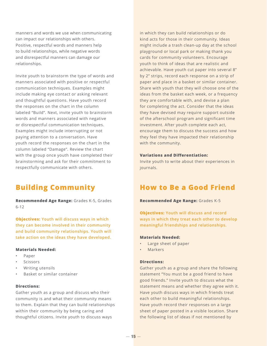manners and words we use when communicating can impact our relationships with others. Positive, respectful words and manners help to build relationships, while negative words and disrespectful manners can damage our relationships.

Invite youth to brainstorm the type of words and manners associated with positive or respectful communication techniques. Examples might include making eye contact or asking relevant and thoughtful questions. Have youth record the responses on the chart in the column labeled "Build". Next, invite youth to brainstorm words and manners associated with negative or disrespectful communication techniques. Examples might include interrupting or not paying attention to a conversation. Have youth record the responses on the chart in the column labeled "Damage". Review the chart with the group once youth have completed their brainstorming and ask for their commitment to respectfully communicate with others.

# **Building Community**

**Recommended Age Range:** Grades K-5, Grades 6-12

**Objectives: Youth will discuss ways in which they can become involved in their community and build community relationships. Youth will take action on the ideas they have developed.** 

## **Materials Needed:**

- Paper
- **Scissors**
- Writing utensils
- Basket or similar container

### **Directions:**

Gather youth as a group and discuss who their community is and what their community means to them. Explain that they can build relationships within their community by being caring and thoughtful citizens. Invite youth to discuss ways

in which they can build relationships or do kind acts for those in their community. Ideas might include a trash clean-up day at the school playground or local park or making thank you cards for community volunteers. Encourage youth to think of ideas that are realistic and achievable. Have youth cut paper into several 8" by 2" strips, record each response on a strip of paper and place in a basket or similar container. Share with youth that they will choose one of the ideas from the basket each week, or a frequency they are comfortable with, and devise a plan for completing the act. Consider that the ideas they have devised may require support outside of the afterschool program and significant time investment. After youth complete each act, encourage them to discuss the success and how they feel they have impacted their relationship with the community.

#### **Variations and Differentiation:**

Invite youth to write about their experiences in journals.

# **How to Be a Good Friend**

#### **Recommended Age Range:** Grades K-5

**Objectives: Youth will discuss and record ways in which they treat each other to develop meaningful friendships and relationships.**

#### **Materials Needed:**

- Large sheet of paper
- **Markers**

### **Directions:**

Gather youth as a group and share the following statement "You must be a good friend to have good friends." Invite youth to discuss what the statement means and whether they agree with it. Have youth discuss ways in which friends treat each other to build meaningful relationships. Have youth record their responses on a large sheet of paper posted in a visible location. Share the following list of ideas if not mentioned by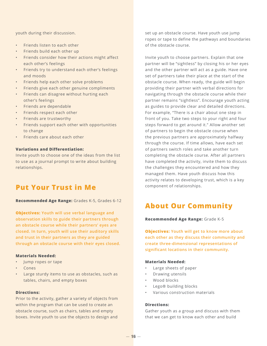youth during their discussion.

- Friends listen to each other
- Friends build each other up
- Friends consider how their actions might affect each other's feelings
- Friends try to understand each other's feelings and moods
- Friends help each other solve problems
- Friends give each other genuine compliments
- Friends can disagree without hurting each other's feelings
- Friends are dependable
- Friends respect each other
- Friends are trustworthy
- Friends support each other with opportunities to change
- Friends care about each other

## **Variations and Differentiation:**

Invite youth to choose one of the ideas from the list to use as a journal prompt to write about building relationships.

# **Put Your Trust in Me**

**Recommended Age Range:** Grades K-5, Grades 6-12

**Objectives: Youth will use verbal language and observation skills to guide their partners through an obstacle course while their partners' eyes are closed. In turn, youth will use their auditory skills and trust in their partners as they are guided through an obstacle course with their eyes closed.** 

#### **Materials Needed:**

- Jump ropes or tape
- Cones
- Large sturdy items to use as obstacles, such as tables, chairs, and empty boxes

### **Directions:**

Prior to the activity, gather a variety of objects from within the program that can be used to create an obstacle course, such as chairs, tables and empty boxes. Invite youth to use the objects to design and

set up an obstacle course. Have youth use jump ropes or tape to define the pathways and boundaries of the obstacle course.

Invite youth to choose partners. Explain that one partner will be "sightless" by closing his or her eyes and the other partner will act as a guide. Have one set of partners take their place at the start of the obstacle course. When ready, the guide will begin providing their partner with verbal directions for navigating through the obstacle course while their partner remains "sightless". Encourage youth acting as guides to provide clear and detailed directions. For example, "There is a chair about one step in front of you. Take two steps to your right and four steps forward to get around it." Allow another set of partners to begin the obstacle course when the previous partners are approximately halfway through the course. If time allows, have each set of partners switch roles and take another turn completing the obstacle course. After all partners have completed the activity, invite them to discuss the challenges they encountered and how they managed them. Have youth discuss how this activity relates to developing trust, which is a key component of relationships.

# **About Our Community**

**Recommended Age Range:** Grade K-5

**Objectives: Youth will get to know more about each other as they discuss their community and create three-dimensional representations of significant locations in their community.** 

### **Materials Needed:**

- Large sheets of paper
- Drawing utensils
- Wood blocks
- Lego® building blocks
- Various construction materials

### **Directions:**

Gather youth as a group and discuss with them that we can get to know each other and build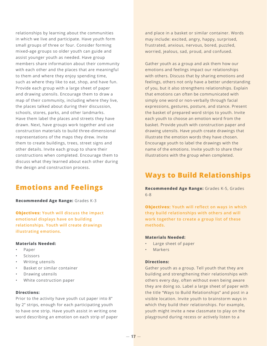relationships by learning about the communities in which we live and participate. Have youth form small groups of three or four. Consider forming mixed-age groups so older youth can guide and assist younger youth as needed. Have group members share information about their community with each other and the places that are meaningful to them and where they enjoy spending time, such as where they like to eat, shop, and have fun. Provide each group with a large sheet of paper and drawing utensils. Encourage them to draw a map of their community, including where they live, the places talked about during their discussion, schools, stores, parks, and other landmarks. Have them label the places and streets they have drawn. Next, have groups work together and use construction materials to build three-dimensional representations of the maps they drew. Invite them to create buildings, trees, street signs and other details. Invite each group to share their constructions when completed. Encourage them to discuss what they learned about each other during the design and construction process.

# **Emotions and Feelings**

**Recommended Age Range:** Grades K-3

**Objectives: Youth will discuss the impact emotional displays have on building relationships. Youth will create drawings illustrating emotions.** 

#### **Materials Needed:**

- Paper
- **Scissors**
- Writing utensils
- Basket or similar container
- Drawing utensils
- White construction paper

### **Directions:**

Prior to the activity have youth cut paper into 8" by 2" strips, enough for each participating youth to have one strip. Have youth assist in writing one word describing an emotion on each strip of paper and place in a basket or similar container. Words may include: excited, angry, happy, surprised, frustrated, anxious, nervous, bored, puzzled, worried, jealous, sad, proud, and confused.

Gather youth as a group and ask them how our emotions and feelings impact our relationships with others. Discuss that by sharing emotions and feelings, others not only have a better understanding of you, but it also strengthens relationships. Explain that emotions can often be communicated with simply one word or non-verbally through facial expressions, gestures, posture, and stance. Present the basket of prepared word strips to youth. Invite each youth to choose an emotion word from the basket. Provide youth with construction paper and drawing utensils. Have youth create drawings that illustrate the emotion words they have chosen. Encourage youth to label the drawings with the name of the emotions. Invite youth to share their illustrations with the group when completed.

# **Ways to Build Relationships**

**Recommended Age Range:** Grades K-5, Grades 6-8

**Objectives: Youth will reflect on ways in which they build relationships with others and will work together to create a group list of these methods.** 

#### **Materials Needed:**

- Large sheet of paper
- **Markers**

### **Directions:**

Gather youth as a group. Tell youth that they are building and strengthening their relationships with others every day, often without even being aware they are doing so. Label a large sheet of paper with the title "Ways to Build Relationships" and post in a visible location. Invite youth to brainstorm ways in which they build their relationships. For example, youth might invite a new classmate to play on the playground during recess or actively listen to a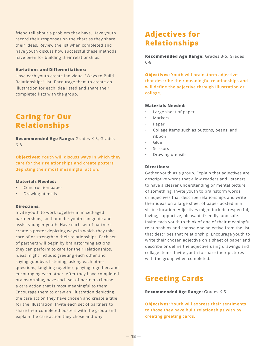friend tell about a problem they have. Have youth record their responses on the chart as they share their ideas. Review the list when completed and have youth discuss how successful these methods have been for building their relationships.

## **Variations and Differentiations:**

Have each youth create individual "Ways to Build Relationships" list. Encourage them to create an illustration for each idea listed and share their completed lists with the group.

# **Caring for Our Relationships**

**Recommended Age Range:** Grades K-5, Grades 6-8

**Objectives: Youth will discuss ways in which they care for their relationships and create posters depicting their most meaningful action.** 

#### **Materials Needed:**

- Construction paper
- Drawing utensils

### **Directions:**

Invite youth to work together in mixed-aged partnerships, so that older youth can guide and assist younger youth. Have each set of partners create a poster depicting ways in which they take care of or strengthen their relationships. Each set of partners will begin by brainstorming actions they can perform to care for their relationships. Ideas might include: greeting each other and saying goodbye, listening, asking each other questions, laughing together, playing together, and encouraging each other. After they have completed brainstorming, have each set of partners choose a care action that is most meaningful to them. Encourage them to draw an illustration depicting the care action they have chosen and create a title for the illustration. Invite each set of partners to share their completed posters with the group and explain the care action they chose and why.

# **Adjectives for Relationships**

**Recommended Age Range:** Grades 3-5, Grades 6-8

**Objectives: Youth will brainstorm adjectives that describe their meaningful relationships and will define the adjective through illustration or collage.** 

### **Materials Needed:**

- Large sheet of paper
- **Markers**
- Paper
- Collage items such as buttons, beans, and ribbon
- Glue
- **Scissors**
- Drawing utensils

#### **Directions:**

Gather youth as a group. Explain that adjectives are descriptive words that allow readers and listeners to have a clearer understanding or mental picture of something. Invite youth to brainstorm words or adjectives that describe relationships and write their ideas on a large sheet of paper posted in a visible location. Adjectives might include respectful, loving, supportive, pleasant, friendly, and safe. Invite each youth to think of one of their meaningful relationships and choose one adjective from the list that describes that relationship. Encourage youth to write their chosen adjective on a sheet of paper and describe or define the adjective using drawings and collage items. Invite youth to share their pictures with the group when completed.

# **Greeting Cards**

#### **Recommended Age Range:** Grades K-5

**Objectives: Youth will express their sentiments to those they have built relationships with by creating greeting cards.**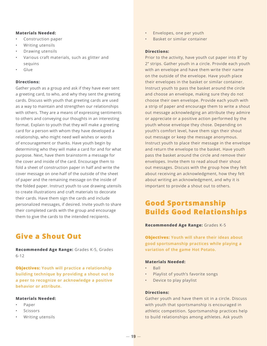### **Materials Needed:**

- Construction paper
- Writing utensils
- Drawing utensils
- Various craft materials, such as glitter and sequins
- Glue

#### **Directions:**

Gather youth as a group and ask if they have ever sent a greeting card, to who, and why they sent the greeting cards. Discuss with youth that greeting cards are used as a way to maintain and strengthen our relationships with others. They are a means of expressing sentiments to others and conveying our thoughts in an interesting format. Explain to youth that they will make a greeting card for a person with whom they have developed a relationship, who might need well wishes or words of encouragement or thanks. Have youth begin by determining who they will make a card for and for what purpose. Next, have them brainstorm a message for the cover and inside of the card. Encourage them to fold a sheet of construction paper in half and write the cover message on one-half of the outside of the sheet of paper and the remaining message on the inside of the folded paper. Instruct youth to use drawing utensils to create illustrations and craft materials to decorate their cards. Have them sign the cards and include personalized messages, if desired. Invite youth to share their completed cards with the group and encourage them to give the cards to the intended recipients.

# **Give a Shout Out**

**Recommended Age Range:** Grades K-5, Grades 6-12

**Objectives: Youth will practice a relationship building technique by providing a shout out to a peer to recognize or acknowledge a positive behavior or attribute.**

#### **Materials Needed:**

- Paper
- **Scissors**
- Writing utensils
- Envelopes, one per youth
- Basket or similar container

#### **Directions:**

Prior to the activity, have youth cut paper into 8" by 2" strips. Gather youth in a circle. Provide each youth with an envelope and have them write their name on the outside of the envelope. Have youth place their envelopes in the basket or similar container. Instruct youth to pass the basket around the circle and choose an envelope, making sure they do not choose their own envelope. Provide each youth with a strip of paper and encourage them to write a shout out message acknowledging an attribute they admire or appreciate or a positive action performed by the youth whose envelope they chose. Depending on youth's comfort level, have them sign their shout out message or keep the message anonymous. Instruct youth to place their message in the envelope and return the envelope to the basket. Have youth pass the basket around the circle and remove their envelopes. Invite them to read aloud their shout out messages. Discuss with the group how they felt about receiving an acknowledgment, how they felt about writing an acknowledgment, and why it is important to provide a shout out to others.

# **Good Sportsmanship Builds Good Relationships**

#### **Recommended Age Range:** Grades K-5

**Objectives: Youth will share their ideas about good sportsmanship practices while playing a variation of the game Hot Potato.** 

### **Materials Needed:**

- Ball
- Playlist of youth's favorite songs
- Device to play playlist

#### **Directions:**

Gather youth and have them sit in a circle. Discuss with youth that sportsmanship is encouraged in athletic competition. Sportsmanship practices help to build relationships among athletes. Ask youth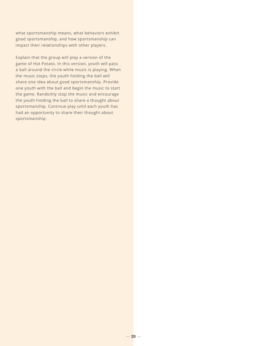what sportsmanship means, what behaviors exhibit good sportsmanship, and how sportsmanship can impact their relationships with other players.

Explain that the group will play a version of the game of Hot Potato. In this version, youth will pass a ball around the circle while music is playing. When the music stops, the youth holding the ball will share one idea about good sportsmanship. Provide one youth with the ball and begin the music to start the game. Randomly stop the music and encourage the youth holding the ball to share a thought about sportsmanship. Continue play until each youth has had an opportunity to share their thought about sportsmanship.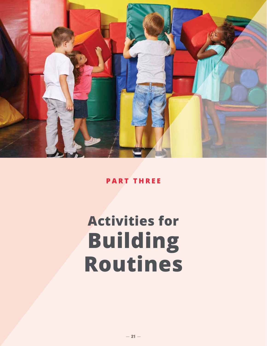

**PART THREE**

# **Building Routines Activities for**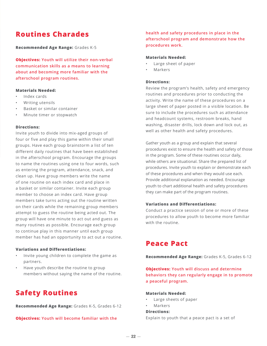# **Routines Charades**

**Recommended Age Range:** Grades K-5

**Objectives: Youth will utilize their non-verbal communication skills as a means to learning about and becoming more familiar with the afterschool program routines.**

#### **Materials Needed:**

- Index cards
- Writing utensils
- Basket or similar container
- Minute timer or stopwatch

#### **Directions:**

Invite youth to divide into mix-aged groups of four or five and play this game within their small groups. Have each group brainstorm a list of ten different daily routines that have been established in the afterschool program. Encourage the groups to name the routines using one to four words, such as entering the program, attendance, snack, and clean up. Have group members write the name of one routine on each index card and place in a basket or similar container. Invite each group member to choose an index card. Have group members take turns acting out the routine written on their cards while the remaining group members attempt to guess the routine being acted out. The group will have one minute to act out and guess as many routines as possible. Encourage each group to continue play in this manner until each group member has had an opportunity to act out a routine.

### **Variations and Differentiations:**

- Invite young children to complete the game as partners.
- Have youth describe the routine to group members without saying the name of the routine.

# **Safety Routines**

**Recommended Age Range:** Grades K-5, Grades 6-12

**Objectives: Youth will become familiar with the** 

**health and safety procedures in place in the afterschool program and demonstrate how the procedures work.** 

### **Materials Needed:**

- Large sheet of paper
- Markers

### **Directions:**

Review the program's health, safety and emergency routines and procedures prior to conducting the activity. Write the name of these procedures on a large sheet of paper posted in a visible location. Be sure to include the procedures such as attendance and headcount systems, restroom breaks, hand washing, disaster drills, lock down and lock out, as well as other health and safety procedures.

Gather youth as a group and explain that several procedures exist to ensure the health and safety of those in the program. Some of these routines occur daily, while others are situational. Share the prepared list of procedures. Invite youth to explain or demonstrate each of these procedures and when they would use each. Provide additional explanation as needed. Encourage youth to chart additional health and safety procedures they can make part of the program routines.

### **Variations and Differentiations:**

Conduct a practice session of one or more of these procedures to allow youth to become more familiar with the routine.

# **Peace Pact**

**Recommended Age Range:** Grades K-5, Grades 6-12

**Objectives: Youth will discuss and determine behaviors they can regularly engage in to promote a peaceful program.**

### **Materials Needed:**

- Large sheets of paper
- Markers

#### **Directions:**

Explain to youth that a peace pact is a set of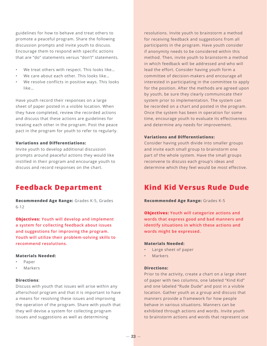guidelines for how to behave and treat others to promote a peaceful program. Share the following discussion prompts and invite youth to discuss. Encourage them to respond with specific actions that are "do" statements versus "don't" statements.

- We treat others with respect. This looks like...
- We care about each other. This looks like...
- We resolve conflicts in positive ways. This looks like…

Have youth record their responses on a large sheet of paper posted in a visible location. When they have completed, review the recorded actions and discuss that these actions are guidelines for treating each other in the program. Post the peace pact in the program for youth to refer to regularly.

### **Variations and Differentiations:**

Invite youth to develop additional discussion prompts around peaceful actions they would like instilled in their program and encourage youth to discuss and record responses on the chart.

# **Feedback Department**

**Recommended Age Range:** Grades K-5, Grades 6-12

**Objectives: Youth will develop and implement a system for collecting feedback about issues and suggestions for improving the program. Youth will utilize their problem-solving skills to recommend resolutions.**

## **Materials Needed:**

- Paper
- **Markers**

#### **Directions**:

Discuss with youth that issues will arise within any afterschool program and that it is important to have a means for resolving these issues and improving the operation of the program. Share with youth that they will devise a system for collecting program issues and suggestions as well as determining

resolutions. Invite youth to brainstorm a method for receiving feedback and suggestions from all participants in the program. Have youth consider if anonymity needs to be considered within this method. Then, invite youth to brainstorm a method in which feedback will be addressed and who will lead the effort. Consider having youth form a committee of decision-makers and encourage all interested in participating in the committee to apply for the position. After the methods are agreed upon by youth, be sure they clearly communicate their system prior to implementation. The system can be recorded on a chart and posted in the program. Once the system has been in operation for some time, encourage youth to evaluate its effectiveness and determine any needs for improvement.

#### **Variations and Differentiations:**

Consider having youth divide into smaller groups and invite each small group to brainstorm one part of the whole system. Have the small groups reconvene to discuss each group's ideas and determine which they feel would be most effective.

# **Kind Kid Versus Rude Dude**

#### **Recommended Age Range:** Grades K-5

**Objectives: Youth will categorize actions and words that express good and bad manners and identify situations in which these actions and words might be expressed.**

#### **Materials Needed:**

- Large sheet of paper
- Markers

### **Directions:**

Prior to the activity, create a chart on a large sheet of paper with two columns, one labeled "Kind Kid" and one labeled "Rude Dude" and post in a visible location. Gather youth as a group and discuss that manners provide a framework for how people behave in various situations. Manners can be exhibited through actions and words. Invite youth to brainstorm actions and words that represent use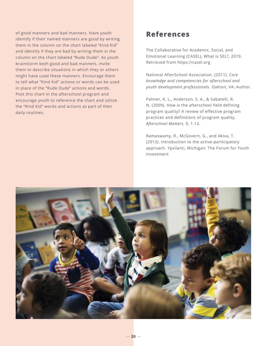of good manners and bad manners. Have youth identify if their named manners are good by writing them in the column on the chart labeled "Kind Kid" and identify if they are bad by writing them in the column on the chart labeled "Rude Dude". As youth brainstorm both good and bad manners, invite them to describe situations in which they or others might have used these manners. Encourage them to tell what "Kind Kid" actions or words can be used in place of the "Rude Dude" actions and words. Post this chart in the afterschool program and encourage youth to reference the chart and utilize the "Kind Kid" words and actions as part of their daily routines.

# **References**

The Collaborative for Academic, Social, and Emotional Learning (CASEL), What is SEL?, 2019. Retrieved from https://casel.org

National AfterSchool Association. (2011). *Core knowledge and competencies for afterschool and youth development professionals*. Oakton, VA: Author.

Palmer, K. L., Anderson, S. A., & Sabatelli, R. N. (2009). How is the afterschool field defining program quality? A review of effective program practices and definitions of program quality. *Afterschool Matters*, 9, 1-12.

Ramaswamy, R., McGovern, G., and Akiva, T. (2013). Introduction to the active-participatory approach. Ypsilanti, Michigan: The Forum for Youth Investment